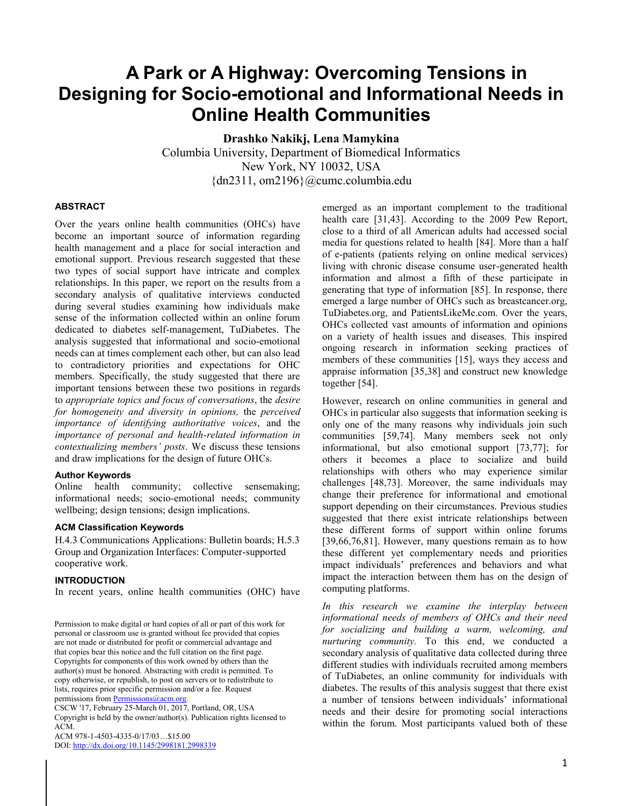# **A Park or A Highway: Overcoming Tensions in Designing for Socio-emotional and Informational Needs in Online Health Communities**

**Drashko Nakikj, Lena Mamykina**

Columbia University, Department of Biomedical Informatics New York, NY 10032, USA  ${dn2311, om2196}$ @cumc.columbia.edu

#### **ABSTRACT**

Over the years online health communities (OHCs) have become an important source of information regarding health management and a place for social interaction and emotional support. Previous research suggested that these two types of social support have intricate and complex relationships. In this paper, we report on the results from a secondary analysis of qualitative interviews conducted during several studies examining how individuals make sense of the information collected within an online forum dedicated to diabetes self-management, TuDiabetes. The analysis suggested that informational and socio-emotional needs can at times complement each other, but can also lead to contradictory priorities and expectations for OHC members. Specifically, the study suggested that there are important tensions between these two positions in regards to *appropriate topics and focus of conversations*, the *desire for homogeneity and diversity in opinions,* the *perceived importance of identifying authoritative voices*, and the *importance of personal and health-related information in contextualizing members' posts*. We discuss these tensions and draw implications for the design of future OHCs.

#### **Author Keywords**

Online health community; collective sensemaking; informational needs; socio-emotional needs; community wellbeing; design tensions; design implications.

#### **ACM Classification Keywords**

H.4.3 Communications Applications: Bulletin boards; H.5.3 Group and Organization Interfaces: Computer-supported cooperative work.

#### **INTRODUCTION**

In recent years, online health communities (OHC) have

CSCW '17, February 25-March 01, 2017, Portland, OR, USA Copyright is held by the owner/author(s). Publication rights licensed to ACM.

ACM 978-1-4503-4335-0/17/03…\$15.00 DOI:<http://dx.doi.org/10.1145/2998181.2998339> emerged as an important complement to the traditional health care [31,43]. According to the 2009 Pew Report, close to a third of all American adults had accessed social media for questions related to health [84]. More than a half of e-patients (patients relying on online medical services) living with chronic disease consume user-generated health information and almost a fifth of these participate in generating that type of information [85]. In response, there emerged a large number of OHCs such as breastcancer.org, TuDiabetes.org, and PatientsLikeMe.com. Over the years, OHCs collected vast amounts of information and opinions on a variety of health issues and diseases. This inspired ongoing research in information seeking practices of members of these communities [15], ways they access and appraise information [35,38] and construct new knowledge together [54].

However, research on online communities in general and OHCs in particular also suggests that information seeking is only one of the many reasons why individuals join such communities [59,74]. Many members seek not only informational, but also emotional support [73,77]; for others it becomes a place to socialize and build relationships with others who may experience similar challenges [48,73]. Moreover, the same individuals may change their preference for informational and emotional support depending on their circumstances. Previous studies suggested that there exist intricate relationships between these different forms of support within online forums [39,66,76,81]. However, many questions remain as to how these different yet complementary needs and priorities impact individuals' preferences and behaviors and what impact the interaction between them has on the design of computing platforms.

*In this research we examine the interplay between informational needs of members of OHCs and their need for socializing and building a warm, welcoming, and nurturing community.* To this end, we conducted a secondary analysis of qualitative data collected during three different studies with individuals recruited among members of TuDiabetes, an online community for individuals with diabetes. The results of this analysis suggest that there exist a number of tensions between individuals' informational needs and their desire for promoting social interactions within the forum. Most participants valued both of these

Permission to make digital or hard copies of all or part of this work for personal or classroom use is granted without fee provided that copies are not made or distributed for profit or commercial advantage and that copies bear this notice and the full citation on the first page. Copyrights for components of this work owned by others than the author(s) must be honored. Abstracting with credit is permitted. To copy otherwise, or republish, to post on servers or to redistribute to lists, requires prior specific permission and/or a fee. Request permissions from Permissions@acm.org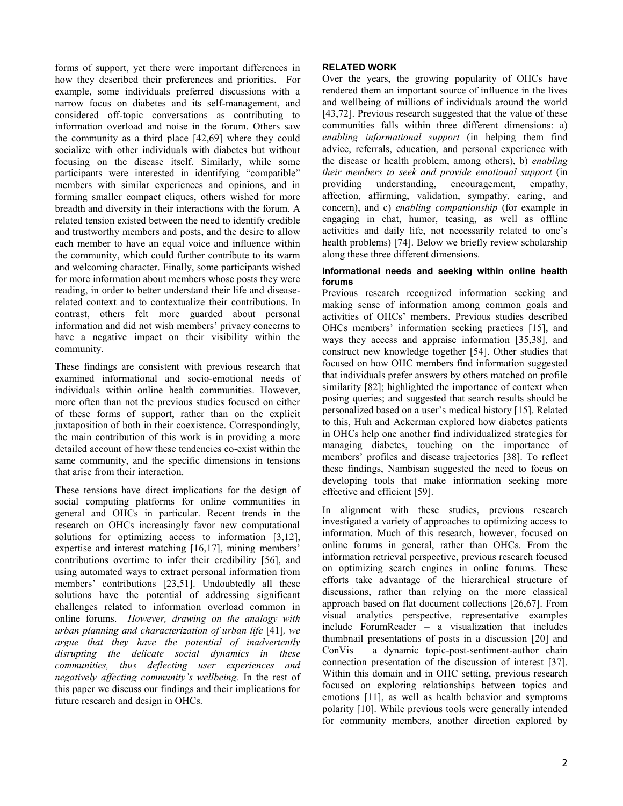forms of support, yet there were important differences in how they described their preferences and priorities. For example, some individuals preferred discussions with a narrow focus on diabetes and its self-management, and considered off-topic conversations as contributing to information overload and noise in the forum. Others saw the community as a third place [42,69] where they could socialize with other individuals with diabetes but without focusing on the disease itself. Similarly, while some participants were interested in identifying "compatible" members with similar experiences and opinions, and in forming smaller compact cliques, others wished for more breadth and diversity in their interactions with the forum. A related tension existed between the need to identify credible and trustworthy members and posts, and the desire to allow each member to have an equal voice and influence within the community, which could further contribute to its warm and welcoming character. Finally, some participants wished for more information about members whose posts they were reading, in order to better understand their life and diseaserelated context and to contextualize their contributions. In contrast, others felt more guarded about personal information and did not wish members' privacy concerns to have a negative impact on their visibility within the community.

These findings are consistent with previous research that examined informational and socio-emotional needs of individuals within online health communities. However, more often than not the previous studies focused on either of these forms of support, rather than on the explicit juxtaposition of both in their coexistence. Correspondingly, the main contribution of this work is in providing a more detailed account of how these tendencies co-exist within the same community, and the specific dimensions in tensions that arise from their interaction.

These tensions have direct implications for the design of social computing platforms for online communities in general and OHCs in particular. Recent trends in the research on OHCs increasingly favor new computational solutions for optimizing access to information [3,12], expertise and interest matching [16,17], mining members' contributions overtime to infer their credibility [56], and using automated ways to extract personal information from members' contributions [23,51]. Undoubtedly all these solutions have the potential of addressing significant challenges related to information overload common in online forums. *However, drawing on the analogy with urban planning and characterization of urban life* [41]*, we argue that they have the potential of inadvertently disrupting the delicate social dynamics in these communities, thus deflecting user experiences and negatively affecting community's wellbeing.* In the rest of this paper we discuss our findings and their implications for future research and design in OHCs.

#### **RELATED WORK**

Over the years, the growing popularity of OHCs have rendered them an important source of influence in the lives and wellbeing of millions of individuals around the world [43,72]. Previous research suggested that the value of these communities falls within three different dimensions: a) *enabling informational support* (in helping them find advice, referrals, education, and personal experience with the disease or health problem, among others), b) *enabling their members to seek and provide emotional support* (in providing understanding, encouragement, empathy, affection, affirming, validation, sympathy, caring, and concern), and c) *enabling companionship* (for example in engaging in chat, humor, teasing, as well as offline activities and daily life, not necessarily related to one's health problems) [74]. Below we briefly review scholarship along these three different dimensions.

#### **Informational needs and seeking within online health forums**

Previous research recognized information seeking and making sense of information among common goals and activities of OHCs' members. Previous studies described OHCs members' information seeking practices [15], and ways they access and appraise information [35,38], and construct new knowledge together [54]. Other studies that focused on how OHC members find information suggested that individuals prefer answers by others matched on profile similarity [82]; highlighted the importance of context when posing queries; and suggested that search results should be personalized based on a user's medical history [15]. Related to this, Huh and Ackerman explored how diabetes patients in OHCs help one another find individualized strategies for managing diabetes, touching on the importance of members' profiles and disease trajectories [38]. To reflect these findings, Nambisan suggested the need to focus on developing tools that make information seeking more effective and efficient [59].

In alignment with these studies, previous research investigated a variety of approaches to optimizing access to information. Much of this research, however, focused on online forums in general, rather than OHCs. From the information retrieval perspective, previous research focused on optimizing search engines in online forums. These efforts take advantage of the hierarchical structure of discussions, rather than relying on the more classical approach based on flat document collections [26,67]. From visual analytics perspective, representative examples include ForumReader – a visualization that includes thumbnail presentations of posts in a discussion [20] and ConVis – a dynamic topic-post-sentiment-author chain connection presentation of the discussion of interest [37]. Within this domain and in OHC setting, previous research focused on exploring relationships between topics and emotions [11], as well as health behavior and symptoms polarity [10]. While previous tools were generally intended for community members, another direction explored by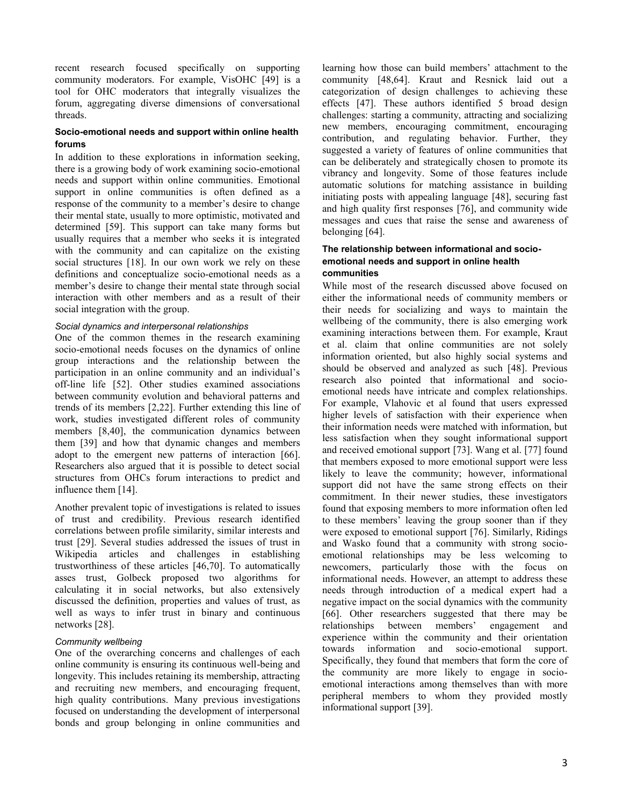recent research focused specifically on supporting community moderators. For example, VisOHC [49] is a tool for OHC moderators that integrally visualizes the forum, aggregating diverse dimensions of conversational threads.

# **Socio-emotional needs and support within online health forums**

In addition to these explorations in information seeking, there is a growing body of work examining socio-emotional needs and support within online communities. Emotional support in online communities is often defined as a response of the community to a member's desire to change their mental state, usually to more optimistic, motivated and determined [59]. This support can take many forms but usually requires that a member who seeks it is integrated with the community and can capitalize on the existing social structures [18]. In our own work we rely on these definitions and conceptualize socio-emotional needs as a member's desire to change their mental state through social interaction with other members and as a result of their social integration with the group.

#### *Social dynamics and interpersonal relationships*

One of the common themes in the research examining socio-emotional needs focuses on the dynamics of online group interactions and the relationship between the participation in an online community and an individual's off-line life [52]. Other studies examined associations between community evolution and behavioral patterns and trends of its members [2,22]. Further extending this line of work, studies investigated different roles of community members [8,40], the communication dynamics between them [39] and how that dynamic changes and members adopt to the emergent new patterns of interaction [66]. Researchers also argued that it is possible to detect social structures from OHCs forum interactions to predict and influence them [14].

Another prevalent topic of investigations is related to issues of trust and credibility. Previous research identified correlations between profile similarity, similar interests and trust [29]. Several studies addressed the issues of trust in Wikipedia articles and challenges in establishing trustworthiness of these articles [46,70]. To automatically asses trust, Golbeck proposed two algorithms for calculating it in social networks, but also extensively discussed the definition, properties and values of trust, as well as ways to infer trust in binary and continuous networks [28].

# *Community wellbeing*

One of the overarching concerns and challenges of each online community is ensuring its continuous well-being and longevity. This includes retaining its membership, attracting and recruiting new members, and encouraging frequent, high quality contributions. Many previous investigations focused on understanding the development of interpersonal bonds and group belonging in online communities and

learning how those can build members' attachment to the community [48,64]. Kraut and Resnick laid out a categorization of design challenges to achieving these effects [47]. These authors identified 5 broad design challenges: starting a community, attracting and socializing new members, encouraging commitment, encouraging contribution, and regulating behavior. Further, they suggested a variety of features of online communities that can be deliberately and strategically chosen to promote its vibrancy and longevity. Some of those features include automatic solutions for matching assistance in building initiating posts with appealing language [48], securing fast and high quality first responses [76], and community wide messages and cues that raise the sense and awareness of belonging [64].

# **The relationship between informational and socioemotional needs and support in online health communities**

While most of the research discussed above focused on either the informational needs of community members or their needs for socializing and ways to maintain the wellbeing of the community, there is also emerging work examining interactions between them. For example, Kraut et al. claim that online communities are not solely information oriented, but also highly social systems and should be observed and analyzed as such [48]. Previous research also pointed that informational and socioemotional needs have intricate and complex relationships. For example, Vlahovic et al found that users expressed higher levels of satisfaction with their experience when their information needs were matched with information, but less satisfaction when they sought informational support and received emotional support [73]. Wang et al. [77] found that members exposed to more emotional support were less likely to leave the community; however, informational support did not have the same strong effects on their commitment. In their newer studies, these investigators found that exposing members to more information often led to these members' leaving the group sooner than if they were exposed to emotional support [76]. Similarly, Ridings and Wasko found that a community with strong socioemotional relationships may be less welcoming to newcomers, particularly those with the focus on informational needs. However, an attempt to address these needs through introduction of a medical expert had a negative impact on the social dynamics with the community [66]. Other researchers suggested that there may be relationships between members' engagement and experience within the community and their orientation towards information and socio-emotional support. Specifically, they found that members that form the core of the community are more likely to engage in socioemotional interactions among themselves than with more peripheral members to whom they provided mostly informational support [39].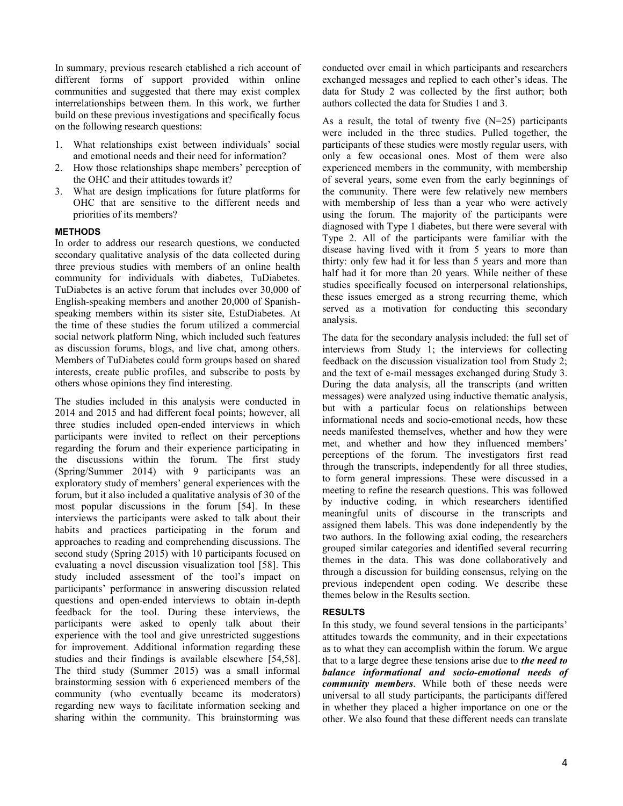In summary, previous research etablished a rich account of different forms of support provided within online communities and suggested that there may exist complex interrelationships between them. In this work, we further build on these previous investigations and specifically focus on the following research questions:

- 1. What relationships exist between individuals' social and emotional needs and their need for information?
- 2. How those relationships shape members' perception of the OHC and their attitudes towards it?
- 3. What are design implications for future platforms for OHC that are sensitive to the different needs and priorities of its members?

# **METHODS**

In order to address our research questions, we conducted secondary qualitative analysis of the data collected during three previous studies with members of an online health community for individuals with diabetes, TuDiabetes. TuDiabetes is an active forum that includes over 30,000 of English-speaking members and another 20,000 of Spanishspeaking members within its sister site, EstuDiabetes. At the time of these studies the forum utilized a commercial social network platform Ning, which included such features as discussion forums, blogs, and live chat, among others. Members of TuDiabetes could form groups based on shared interests, create public profiles, and subscribe to posts by others whose opinions they find interesting.

The studies included in this analysis were conducted in 2014 and 2015 and had different focal points; however, all three studies included open-ended interviews in which participants were invited to reflect on their perceptions regarding the forum and their experience participating in the discussions within the forum. The first study (Spring/Summer 2014) with 9 participants was an exploratory study of members' general experiences with the forum, but it also included a qualitative analysis of 30 of the most popular discussions in the forum [54]. In these interviews the participants were asked to talk about their habits and practices participating in the forum and approaches to reading and comprehending discussions. The second study (Spring 2015) with 10 participants focused on evaluating a novel discussion visualization tool [58]. This study included assessment of the tool's impact on participants' performance in answering discussion related questions and open-ended interviews to obtain in-depth feedback for the tool. During these interviews, the participants were asked to openly talk about their experience with the tool and give unrestricted suggestions for improvement. Additional information regarding these studies and their findings is available elsewhere [54,58]. The third study (Summer 2015) was a small informal brainstorming session with 6 experienced members of the community (who eventually became its moderators) regarding new ways to facilitate information seeking and sharing within the community. This brainstorming was

conducted over email in which participants and researchers exchanged messages and replied to each other's ideas. The data for Study 2 was collected by the first author; both authors collected the data for Studies 1 and 3.

As a result, the total of twenty five (N=25) participants were included in the three studies. Pulled together, the participants of these studies were mostly regular users, with only a few occasional ones. Most of them were also experienced members in the community, with membership of several years, some even from the early beginnings of the community. There were few relatively new members with membership of less than a year who were actively using the forum. The majority of the participants were diagnosed with Type 1 diabetes, but there were several with Type 2. All of the participants were familiar with the disease having lived with it from 5 years to more than thirty: only few had it for less than 5 years and more than half had it for more than 20 years. While neither of these studies specifically focused on interpersonal relationships, these issues emerged as a strong recurring theme, which served as a motivation for conducting this secondary analysis.

The data for the secondary analysis included: the full set of interviews from Study 1; the interviews for collecting feedback on the discussion visualization tool from Study 2; and the text of e-mail messages exchanged during Study 3. During the data analysis, all the transcripts (and written messages) were analyzed using inductive thematic analysis, but with a particular focus on relationships between informational needs and socio-emotional needs, how these needs manifested themselves, whether and how they were met, and whether and how they influenced members' perceptions of the forum. The investigators first read through the transcripts, independently for all three studies, to form general impressions. These were discussed in a meeting to refine the research questions. This was followed by inductive coding, in which researchers identified meaningful units of discourse in the transcripts and assigned them labels. This was done independently by the two authors. In the following axial coding, the researchers grouped similar categories and identified several recurring themes in the data. This was done collaboratively and through a discussion for building consensus, relying on the previous independent open coding. We describe these themes below in the Results section.

#### **RESULTS**

In this study, we found several tensions in the participants' attitudes towards the community, and in their expectations as to what they can accomplish within the forum. We argue that to a large degree these tensions arise due to *the need to balance informational and socio-emotional needs of community members*. While both of these needs were universal to all study participants, the participants differed in whether they placed a higher importance on one or the other. We also found that these different needs can translate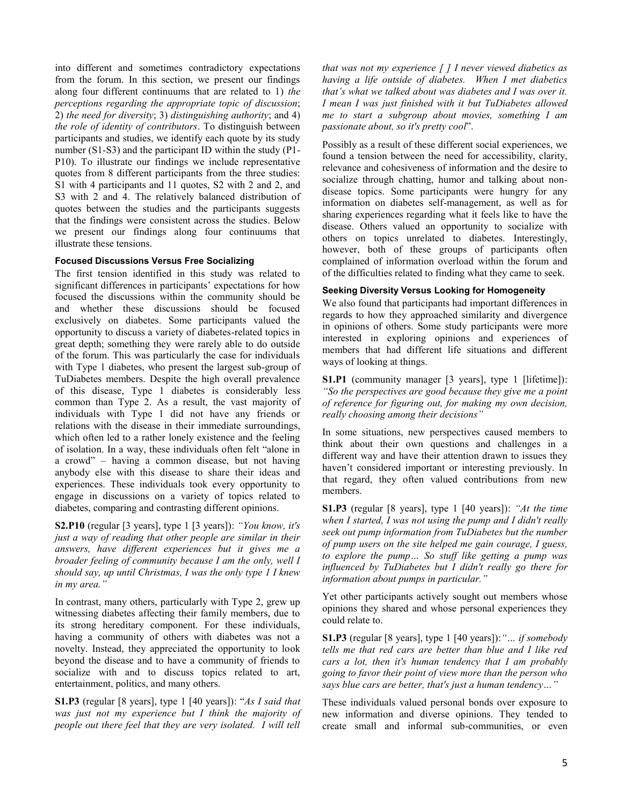into different and sometimes contradictory expectations from the forum. In this section, we present our findings along four different continuums that are related to 1) *the perceptions regarding the appropriate topic of discussion*; 2) *the need for diversity*; 3) *distinguishing authority*; and 4) *the role of identity of contributors*. To distinguish between participants and studies, we identify each quote by its study number (S1-S3) and the participant ID within the study (P1- P10). To illustrate our findings we include representative quotes from 8 different participants from the three studies: S1 with 4 participants and 11 quotes, S2 with 2 and 2, and S3 with 2 and 4. The relatively balanced distribution of quotes between the studies and the participants suggests that the findings were consistent across the studies. Below we present our findings along four continuums that illustrate these tensions.

#### **Focused Discussions Versus Free Socializing**

The first tension identified in this study was related to significant differences in participants' expectations for how focused the discussions within the community should be and whether these discussions should be focused exclusively on diabetes. Some participants valued the opportunity to discuss a variety of diabetes-related topics in great depth; something they were rarely able to do outside of the forum. This was particularly the case for individuals with Type 1 diabetes, who present the largest sub-group of TuDiabetes members. Despite the high overall prevalence of this disease, Type 1 diabetes is considerably less common than Type 2. As a result, the vast majority of individuals with Type 1 did not have any friends or relations with the disease in their immediate surroundings, which often led to a rather lonely existence and the feeling of isolation. In a way, these individuals often felt "alone in a crowd" – having a common disease, but not having anybody else with this disease to share their ideas and experiences. These individuals took every opportunity to engage in discussions on a variety of topics related to diabetes, comparing and contrasting different opinions.

**S2.P10** (regular [3 years], type 1 [3 years]): *"You know, it's just a way of reading that other people are similar in their answers, have different experiences but it gives me a broader feeling of community because I am the only, well I should say, up until Christmas, I was the only type 1 I knew in my area."* 

In contrast, many others, particularly with Type 2, grew up witnessing diabetes affecting their family members, due to its strong hereditary component. For these individuals, having a community of others with diabetes was not a novelty. Instead, they appreciated the opportunity to look beyond the disease and to have a community of friends to socialize with and to discuss topics related to art, entertainment, politics, and many others.

**S1.P3** (regular [8 years], type 1 [40 years]): "*As I said that was just not my experience but I think the majority of people out there feel that they are very isolated. I will tell*  *that was not my experience [ ] I never viewed diabetics as having a life outside of diabetes. When I met diabetics that's what we talked about was diabetes and I was over it. I mean I was just finished with it but TuDiabetes allowed me to start a subgroup about movies, something I am passionate about, so it's pretty cool*".

Possibly as a result of these different social experiences, we found a tension between the need for accessibility, clarity, relevance and cohesiveness of information and the desire to socialize through chatting, humor and talking about nondisease topics. Some participants were hungry for any information on diabetes self-management, as well as for sharing experiences regarding what it feels like to have the disease. Others valued an opportunity to socialize with others on topics unrelated to diabetes. Interestingly, however, both of these groups of participants often complained of information overload within the forum and of the difficulties related to finding what they came to seek.

# **Seeking Diversity Versus Looking for Homogeneity**

We also found that participants had important differences in regards to how they approached similarity and divergence in opinions of others. Some study participants were more interested in exploring opinions and experiences of members that had different life situations and different ways of looking at things.

**S1.P1** (community manager [3 years], type 1 [lifetime]): *"So the perspectives are good because they give me a point of reference for figuring out, for making my own decision, really choosing among their decisions"*

In some situations, new perspectives caused members to think about their own questions and challenges in a different way and have their attention drawn to issues they haven't considered important or interesting previously. In that regard, they often valued contributions from new members.

**S1.P3** (regular [8 years], type 1 [40 years]): *"At the time when I started, I was not using the pump and I didn't really seek out pump information from TuDiabetes but the number of pump users on the site helped me gain courage, I guess, to explore the pump… So stuff like getting a pump was influenced by TuDiabetes but I didn't really go there for information about pumps in particular."*

Yet other participants actively sought out members whose opinions they shared and whose personal experiences they could relate to.

**S1.P3** (regular [8 years], type 1 [40 years]):*"… if somebody tells me that red cars are better than blue and I like red cars a lot, then it's human tendency that I am probably going to favor their point of view more than the person who says blue cars are better, that's just a human tendency…"*

These individuals valued personal bonds over exposure to new information and diverse opinions. They tended to create small and informal sub-communities, or even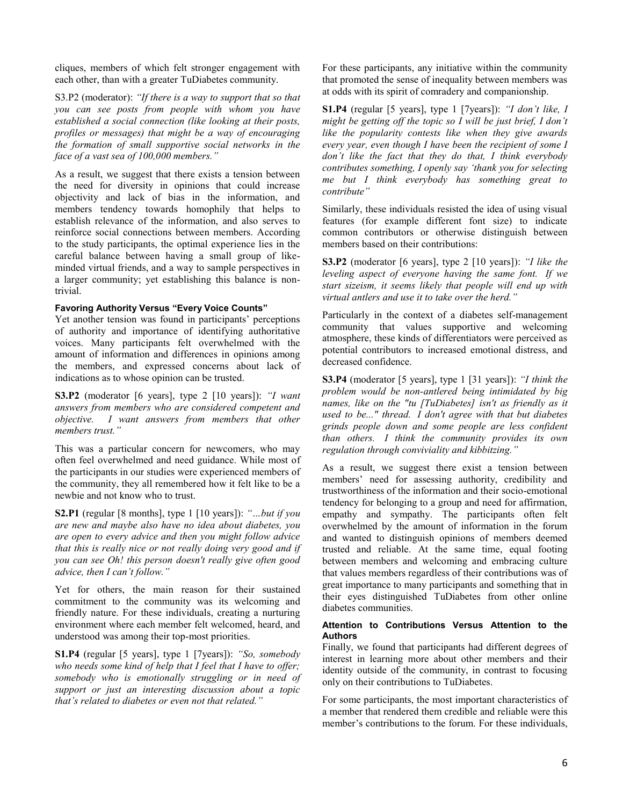cliques, members of which felt stronger engagement with each other, than with a greater TuDiabetes community.

S3.P2 (moderator): *"If there is a way to support that so that you can see posts from people with whom you have established a social connection (like looking at their posts, profiles or messages) that might be a way of encouraging the formation of small supportive social networks in the face of a vast sea of 100,000 members."*

As a result, we suggest that there exists a tension between the need for diversity in opinions that could increase objectivity and lack of bias in the information, and members tendency towards homophily that helps to establish relevance of the information, and also serves to reinforce social connections between members. According to the study participants, the optimal experience lies in the careful balance between having a small group of likeminded virtual friends, and a way to sample perspectives in a larger community; yet establishing this balance is nontrivial.

# **Favoring Authority Versus "Every Voice Counts"**

Yet another tension was found in participants' perceptions of authority and importance of identifying authoritative voices. Many participants felt overwhelmed with the amount of information and differences in opinions among the members, and expressed concerns about lack of indications as to whose opinion can be trusted.

**S3.P2** (moderator [6 years], type 2 [10 years]): *"I want answers from members who are considered competent and objective. I want answers from members that other members trust."* 

This was a particular concern for newcomers, who may often feel overwhelmed and need guidance. While most of the participants in our studies were experienced members of the community, they all remembered how it felt like to be a newbie and not know who to trust.

**S2.P1** (regular [8 months], type 1 [10 years]): *"…but if you are new and maybe also have no idea about diabetes, you are open to every advice and then you might follow advice that this is really nice or not really doing very good and if you can see Oh! this person doesn't really give often good advice, then I can't follow."*

Yet for others, the main reason for their sustained commitment to the community was its welcoming and friendly nature. For these individuals, creating a nurturing environment where each member felt welcomed, heard, and understood was among their top-most priorities.

**S1.P4** (regular [5 years], type 1 [7years]): *"So, somebody*  who needs some kind of help that I feel that I have to offer; *somebody who is emotionally struggling or in need of support or just an interesting discussion about a topic that's related to diabetes or even not that related."*

For these participants, any initiative within the community that promoted the sense of inequality between members was at odds with its spirit of comradery and companionship.

**S1.P4** (regular [5 years], type 1 [7years]): *"I don't like, I might be getting off the topic so I will be just brief, I don't like the popularity contests like when they give awards every year, even though I have been the recipient of some I don't like the fact that they do that, I think everybody contributes something, I openly say 'thank you for selecting me but I think everybody has something great to contribute"*

Similarly, these individuals resisted the idea of using visual features (for example different font size) to indicate common contributors or otherwise distinguish between members based on their contributions:

**S3.P2** (moderator [6 years], type 2 [10 years]): *"I like the leveling aspect of everyone having the same font. If we start sizeism, it seems likely that people will end up with virtual antlers and use it to take over the herd."*

Particularly in the context of a diabetes self-management community that values supportive and welcoming atmosphere, these kinds of differentiators were perceived as potential contributors to increased emotional distress, and decreased confidence.

**S3.P4** (moderator [5 years], type 1 [31 years]): *"I think the problem would be non-antlered being intimidated by big names, like on the "tu [TuDiabetes] isn't as friendly as it used to be..." thread. I don't agree with that but diabetes grinds people down and some people are less confident than others. I think the community provides its own regulation through conviviality and kibbitzing."*

As a result, we suggest there exist a tension between members' need for assessing authority, credibility and trustworthiness of the information and their socio-emotional tendency for belonging to a group and need for affirmation, empathy and sympathy. The participants often felt overwhelmed by the amount of information in the forum and wanted to distinguish opinions of members deemed trusted and reliable. At the same time, equal footing between members and welcoming and embracing culture that values members regardless of their contributions was of great importance to many participants and something that in their eyes distinguished TuDiabetes from other online diabetes communities.

# **Attention to Contributions Versus Attention to the Authors**

Finally, we found that participants had different degrees of interest in learning more about other members and their identity outside of the community, in contrast to focusing only on their contributions to TuDiabetes.

For some participants, the most important characteristics of a member that rendered them credible and reliable were this member's contributions to the forum. For these individuals,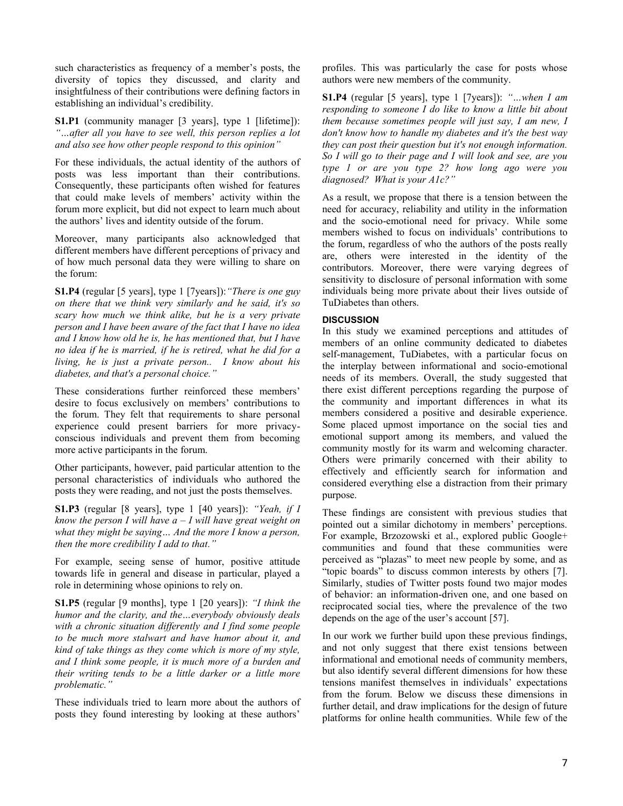such characteristics as frequency of a member's posts, the diversity of topics they discussed, and clarity and insightfulness of their contributions were defining factors in establishing an individual's credibility.

**S1.P1** (community manager [3 years], type 1 [lifetime]): *"…after all you have to see well, this person replies a lot and also see how other people respond to this opinion"*

For these individuals, the actual identity of the authors of posts was less important than their contributions. Consequently, these participants often wished for features that could make levels of members' activity within the forum more explicit, but did not expect to learn much about the authors' lives and identity outside of the forum.

Moreover, many participants also acknowledged that different members have different perceptions of privacy and of how much personal data they were willing to share on the forum:

**S1.P4** (regular [5 years], type 1 [7years]):*"There is one guy on there that we think very similarly and he said, it's so scary how much we think alike, but he is a very private person and I have been aware of the fact that I have no idea and I know how old he is, he has mentioned that, but I have no idea if he is married, if he is retired, what he did for a living, he is just a private person.. I know about his diabetes, and that's a personal choice."*

These considerations further reinforced these members' desire to focus exclusively on members' contributions to the forum. They felt that requirements to share personal experience could present barriers for more privacyconscious individuals and prevent them from becoming more active participants in the forum.

Other participants, however, paid particular attention to the personal characteristics of individuals who authored the posts they were reading, and not just the posts themselves.

**S1.P3** (regular [8 years], type 1 [40 years]): *"Yeah, if I know the person I will have*  $a - I$  *will have great weight on what they might be saying… And the more I know a person, then the more credibility I add to that."*

For example, seeing sense of humor, positive attitude towards life in general and disease in particular, played a role in determining whose opinions to rely on.

**S1.P5** (regular [9 months], type 1 [20 years]): *"I think the humor and the clarity, and the…everybody obviously deals with a chronic situation differently and I find some people to be much more stalwart and have humor about it, and kind of take things as they come which is more of my style, and I think some people, it is much more of a burden and their writing tends to be a little darker or a little more problematic."*

These individuals tried to learn more about the authors of posts they found interesting by looking at these authors'

profiles. This was particularly the case for posts whose authors were new members of the community.

**S1.P4** (regular [5 years], type 1 [7years]): *"…when I am responding to someone I do like to know a little bit about them because sometimes people will just say, I am new, I don't know how to handle my diabetes and it's the best way they can post their question but it's not enough information. So I will go to their page and I will look and see, are you type 1 or are you type 2? how long ago were you diagnosed? What is your A1c?"*

As a result, we propose that there is a tension between the need for accuracy, reliability and utility in the information and the socio-emotional need for privacy. While some members wished to focus on individuals' contributions to the forum, regardless of who the authors of the posts really are, others were interested in the identity of the contributors. Moreover, there were varying degrees of sensitivity to disclosure of personal information with some individuals being more private about their lives outside of TuDiabetes than others.

# **DISCUSSION**

In this study we examined perceptions and attitudes of members of an online community dedicated to diabetes self-management, TuDiabetes, with a particular focus on the interplay between informational and socio-emotional needs of its members. Overall, the study suggested that there exist different perceptions regarding the purpose of the community and important differences in what its members considered a positive and desirable experience. Some placed upmost importance on the social ties and emotional support among its members, and valued the community mostly for its warm and welcoming character. Others were primarily concerned with their ability to effectively and efficiently search for information and considered everything else a distraction from their primary purpose.

These findings are consistent with previous studies that pointed out a similar dichotomy in members' perceptions. For example, Brzozowski et al., explored public Google+ communities and found that these communities were perceived as "plazas" to meet new people by some, and as "topic boards" to discuss common interests by others [7]. Similarly, studies of Twitter posts found two major modes of behavior: an information-driven one, and one based on reciprocated social ties, where the prevalence of the two depends on the age of the user's account [57].

In our work we further build upon these previous findings, and not only suggest that there exist tensions between informational and emotional needs of community members, but also identify several different dimensions for how these tensions manifest themselves in individuals' expectations from the forum. Below we discuss these dimensions in further detail, and draw implications for the design of future platforms for online health communities. While few of the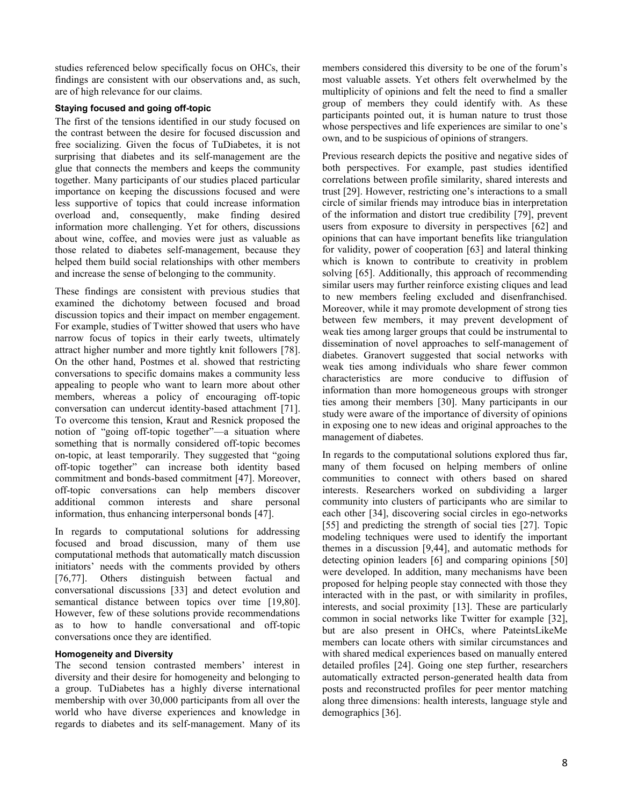studies referenced below specifically focus on OHCs, their findings are consistent with our observations and, as such, are of high relevance for our claims.

# **Staying focused and going off-topic**

The first of the tensions identified in our study focused on the contrast between the desire for focused discussion and free socializing. Given the focus of TuDiabetes, it is not surprising that diabetes and its self-management are the glue that connects the members and keeps the community together. Many participants of our studies placed particular importance on keeping the discussions focused and were less supportive of topics that could increase information overload and, consequently, make finding desired information more challenging. Yet for others, discussions about wine, coffee, and movies were just as valuable as those related to diabetes self-management, because they helped them build social relationships with other members and increase the sense of belonging to the community.

These findings are consistent with previous studies that examined the dichotomy between focused and broad discussion topics and their impact on member engagement. For example, studies of Twitter showed that users who have narrow focus of topics in their early tweets, ultimately attract higher number and more tightly knit followers [78]. On the other hand, Postmes et al. showed that restricting conversations to specific domains makes a community less appealing to people who want to learn more about other members, whereas a policy of encouraging off-topic conversation can undercut identity-based attachment [71]. To overcome this tension, Kraut and Resnick proposed the notion of "going off-topic together"—a situation where something that is normally considered off-topic becomes on-topic, at least temporarily. They suggested that "going off-topic together" can increase both identity based commitment and bonds-based commitment [47]. Moreover, off-topic conversations can help members discover additional common interests and share personal information, thus enhancing interpersonal bonds [47].

In regards to computational solutions for addressing focused and broad discussion, many of them use computational methods that automatically match discussion initiators' needs with the comments provided by others [76,77]. Others distinguish between factual and conversational discussions [33] and detect evolution and semantical distance between topics over time [19,80]. However, few of these solutions provide recommendations as to how to handle conversational and off-topic conversations once they are identified.

# **Homogeneity and Diversity**

The second tension contrasted members' interest in diversity and their desire for homogeneity and belonging to a group. TuDiabetes has a highly diverse international membership with over 30,000 participants from all over the world who have diverse experiences and knowledge in regards to diabetes and its self-management. Many of its members considered this diversity to be one of the forum's most valuable assets. Yet others felt overwhelmed by the multiplicity of opinions and felt the need to find a smaller group of members they could identify with. As these participants pointed out, it is human nature to trust those whose perspectives and life experiences are similar to one's own, and to be suspicious of opinions of strangers.

Previous research depicts the positive and negative sides of both perspectives. For example, past studies identified correlations between profile similarity, shared interests and trust [29]. However, restricting one's interactions to a small circle of similar friends may introduce bias in interpretation of the information and distort true credibility [79], prevent users from exposure to diversity in perspectives [62] and opinions that can have important benefits like triangulation for validity, power of cooperation [63] and lateral thinking which is known to contribute to creativity in problem solving [65]. Additionally, this approach of recommending similar users may further reinforce existing cliques and lead to new members feeling excluded and disenfranchised. Moreover, while it may promote development of strong ties between few members, it may prevent development of weak ties among larger groups that could be instrumental to dissemination of novel approaches to self-management of diabetes. Granovert suggested that social networks with weak ties among individuals who share fewer common characteristics are more conducive to diffusion of information than more homogeneous groups with stronger ties among their members [30]. Many participants in our study were aware of the importance of diversity of opinions in exposing one to new ideas and original approaches to the management of diabetes.

In regards to the computational solutions explored thus far, many of them focused on helping members of online communities to connect with others based on shared interests. Researchers worked on subdividing a larger community into clusters of participants who are similar to each other [34], discovering social circles in ego-networks [55] and predicting the strength of social ties [27]. Topic modeling techniques were used to identify the important themes in a discussion [9,44], and automatic methods for detecting opinion leaders [6] and comparing opinions [50] were developed. In addition, many mechanisms have been proposed for helping people stay connected with those they interacted with in the past, or with similarity in profiles, interests, and social proximity [13]. These are particularly common in social networks like Twitter for example [32], but are also present in OHCs, where PateintsLikeMe members can locate others with similar circumstances and with shared medical experiences based on manually entered detailed profiles [24]. Going one step further, researchers automatically extracted person-generated health data from posts and reconstructed profiles for peer mentor matching along three dimensions: health interests, language style and demographics [36].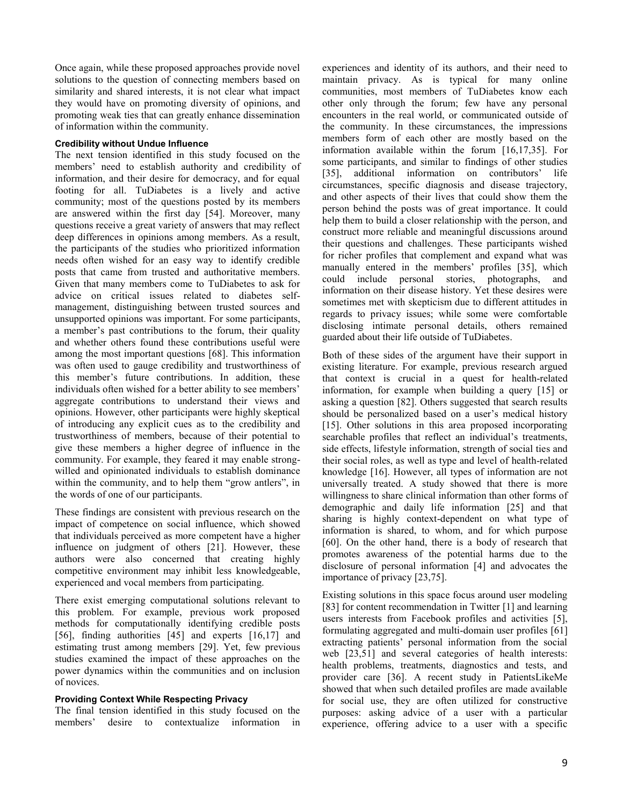Once again, while these proposed approaches provide novel solutions to the question of connecting members based on similarity and shared interests, it is not clear what impact they would have on promoting diversity of opinions, and promoting weak ties that can greatly enhance dissemination of information within the community.

# **Credibility without Undue Influence**

The next tension identified in this study focused on the members' need to establish authority and credibility of information, and their desire for democracy, and for equal footing for all. TuDiabetes is a lively and active community; most of the questions posted by its members are answered within the first day [54]. Moreover, many questions receive a great variety of answers that may reflect deep differences in opinions among members. As a result, the participants of the studies who prioritized information needs often wished for an easy way to identify credible posts that came from trusted and authoritative members. Given that many members come to TuDiabetes to ask for advice on critical issues related to diabetes selfmanagement, distinguishing between trusted sources and unsupported opinions was important. For some participants, a member's past contributions to the forum, their quality and whether others found these contributions useful were among the most important questions [68]. This information was often used to gauge credibility and trustworthiness of this member's future contributions. In addition, these individuals often wished for a better ability to see members' aggregate contributions to understand their views and opinions. However, other participants were highly skeptical of introducing any explicit cues as to the credibility and trustworthiness of members, because of their potential to give these members a higher degree of influence in the community. For example, they feared it may enable strongwilled and opinionated individuals to establish dominance within the community, and to help them "grow antlers", in the words of one of our participants.

These findings are consistent with previous research on the impact of competence on social influence, which showed that individuals perceived as more competent have a higher influence on judgment of others [21]. However, these authors were also concerned that creating highly competitive environment may inhibit less knowledgeable, experienced and vocal members from participating.

There exist emerging computational solutions relevant to this problem. For example, previous work proposed methods for computationally identifying credible posts [56], finding authorities [45] and experts [16,17] and estimating trust among members [29]. Yet, few previous studies examined the impact of these approaches on the power dynamics within the communities and on inclusion of novices.

# **Providing Context While Respecting Privacy**

The final tension identified in this study focused on the members' desire to contextualize information

experiences and identity of its authors, and their need to maintain privacy. As is typical for many online communities, most members of TuDiabetes know each other only through the forum; few have any personal encounters in the real world, or communicated outside of the community. In these circumstances, the impressions members form of each other are mostly based on the information available within the forum [16,17,35]. For some participants, and similar to findings of other studies [35], additional information on contributors' life circumstances, specific diagnosis and disease trajectory, and other aspects of their lives that could show them the person behind the posts was of great importance. It could help them to build a closer relationship with the person, and construct more reliable and meaningful discussions around their questions and challenges. These participants wished for richer profiles that complement and expand what was manually entered in the members' profiles [35], which could include personal stories, photographs, and information on their disease history. Yet these desires were sometimes met with skepticism due to different attitudes in regards to privacy issues; while some were comfortable disclosing intimate personal details, others remained guarded about their life outside of TuDiabetes.

Both of these sides of the argument have their support in existing literature. For example, previous research argued that context is crucial in a quest for health-related information, for example when building a query [15] or asking a question [82]. Others suggested that search results should be personalized based on a user's medical history [15]. Other solutions in this area proposed incorporating searchable profiles that reflect an individual's treatments, side effects, lifestyle information, strength of social ties and their social roles, as well as type and level of health-related knowledge [16]. However, all types of information are not universally treated. A study showed that there is more willingness to share clinical information than other forms of demographic and daily life information [25] and that sharing is highly context-dependent on what type of information is shared, to whom, and for which purpose [60]. On the other hand, there is a body of research that promotes awareness of the potential harms due to the disclosure of personal information [4] and advocates the importance of privacy [23,75].

Existing solutions in this space focus around user modeling [83] for content recommendation in Twitter [1] and learning users interests from Facebook profiles and activities [5], formulating aggregated and multi-domain user profiles [61] extracting patients' personal information from the social web [23,51] and several categories of health interests: health problems, treatments, diagnostics and tests, and provider care [36]. A recent study in PatientsLikeMe showed that when such detailed profiles are made available for social use, they are often utilized for constructive purposes: asking advice of a user with a particular experience, offering advice to a user with a specific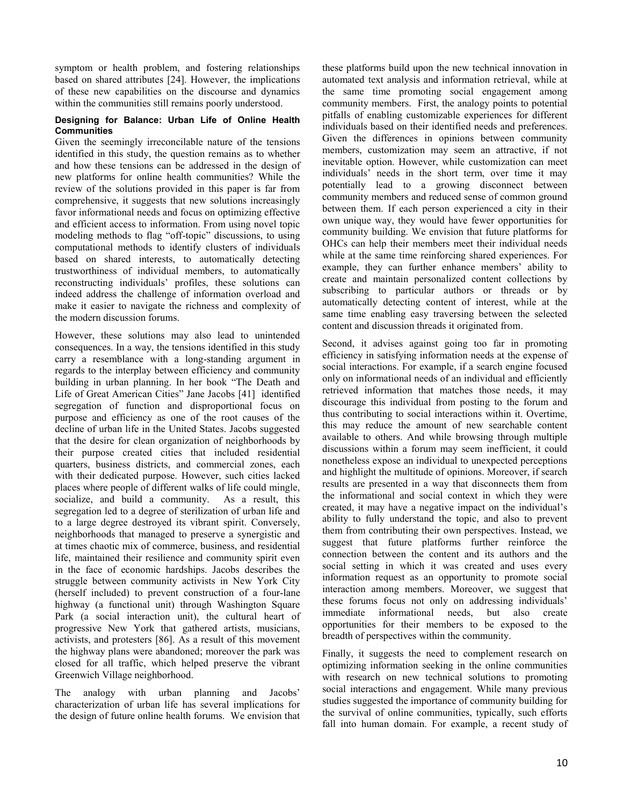symptom or health problem, and fostering relationships based on shared attributes [24]. However, the implications of these new capabilities on the discourse and dynamics within the communities still remains poorly understood.

# **Designing for Balance: Urban Life of Online Health Communities**

Given the seemingly irreconcilable nature of the tensions identified in this study, the question remains as to whether and how these tensions can be addressed in the design of new platforms for online health communities? While the review of the solutions provided in this paper is far from comprehensive, it suggests that new solutions increasingly favor informational needs and focus on optimizing effective and efficient access to information. From using novel topic modeling methods to flag "off-topic" discussions, to using computational methods to identify clusters of individuals based on shared interests, to automatically detecting trustworthiness of individual members, to automatically reconstructing individuals' profiles, these solutions can indeed address the challenge of information overload and make it easier to navigate the richness and complexity of the modern discussion forums.

However, these solutions may also lead to unintended consequences. In a way, the tensions identified in this study carry a resemblance with a long-standing argument in regards to the interplay between efficiency and community building in urban planning. In her book "The Death and Life of Great American Cities" Jane Jacobs [41] identified segregation of function and disproportional focus on purpose and efficiency as one of the root causes of the decline of urban life in the United States. Jacobs suggested that the desire for clean organization of neighborhoods by their purpose created cities that included residential quarters, business districts, and commercial zones, each with their dedicated purpose. However, such cities lacked places where people of different walks of life could mingle, socialize, and build a community. As a result, this segregation led to a degree of sterilization of urban life and to a large degree destroyed its vibrant spirit. Conversely, neighborhoods that managed to preserve a synergistic and at times chaotic mix of commerce, business, and residential life, maintained their resilience and community spirit even in the face of economic hardships. Jacobs describes the struggle between community activists in New York City (herself included) to prevent construction of a four-lane highway (a functional unit) through Washington Square Park (a social interaction unit), the cultural heart of progressive New York that gathered artists, musicians, activists, and protesters [86]. As a result of this movement the highway plans were abandoned; moreover the park was closed for all traffic, which helped preserve the vibrant Greenwich Village neighborhood.

The analogy with urban planning and Jacobs' characterization of urban life has several implications for the design of future online health forums. We envision that these platforms build upon the new technical innovation in automated text analysis and information retrieval, while at the same time promoting social engagement among community members. First, the analogy points to potential pitfalls of enabling customizable experiences for different individuals based on their identified needs and preferences. Given the differences in opinions between community members, customization may seem an attractive, if not inevitable option. However, while customization can meet individuals' needs in the short term, over time it may potentially lead to a growing disconnect between community members and reduced sense of common ground between them. If each person experienced a city in their own unique way, they would have fewer opportunities for community building. We envision that future platforms for OHCs can help their members meet their individual needs while at the same time reinforcing shared experiences. For example, they can further enhance members' ability to create and maintain personalized content collections by subscribing to particular authors or threads or by automatically detecting content of interest, while at the same time enabling easy traversing between the selected content and discussion threads it originated from.

Second, it advises against going too far in promoting efficiency in satisfying information needs at the expense of social interactions. For example, if a search engine focused only on informational needs of an individual and efficiently retrieved information that matches those needs, it may discourage this individual from posting to the forum and thus contributing to social interactions within it. Overtime, this may reduce the amount of new searchable content available to others. And while browsing through multiple discussions within a forum may seem inefficient, it could nonetheless expose an individual to unexpected perceptions and highlight the multitude of opinions. Moreover, if search results are presented in a way that disconnects them from the informational and social context in which they were created, it may have a negative impact on the individual's ability to fully understand the topic, and also to prevent them from contributing their own perspectives. Instead, we suggest that future platforms further reinforce the connection between the content and its authors and the social setting in which it was created and uses every information request as an opportunity to promote social interaction among members. Moreover, we suggest that these forums focus not only on addressing individuals' immediate informational needs, but also create opportunities for their members to be exposed to the breadth of perspectives within the community.

Finally, it suggests the need to complement research on optimizing information seeking in the online communities with research on new technical solutions to promoting social interactions and engagement. While many previous studies suggested the importance of community building for the survival of online communities, typically, such efforts fall into human domain. For example, a recent study of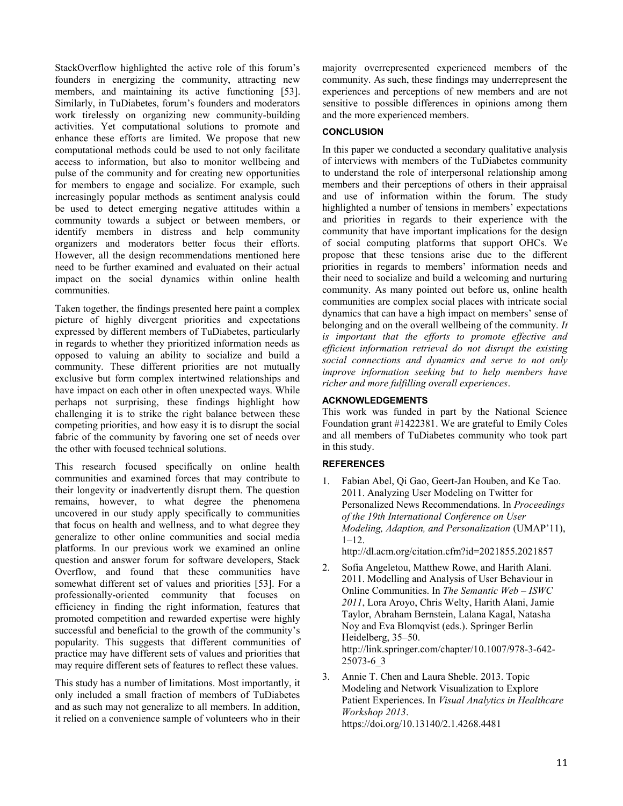StackOverflow highlighted the active role of this forum's founders in energizing the community, attracting new members, and maintaining its active functioning [53]. Similarly, in TuDiabetes, forum's founders and moderators work tirelessly on organizing new community-building activities. Yet computational solutions to promote and enhance these efforts are limited. We propose that new computational methods could be used to not only facilitate access to information, but also to monitor wellbeing and pulse of the community and for creating new opportunities for members to engage and socialize. For example, such increasingly popular methods as sentiment analysis could be used to detect emerging negative attitudes within a community towards a subject or between members, or identify members in distress and help community organizers and moderators better focus their efforts. However, all the design recommendations mentioned here need to be further examined and evaluated on their actual impact on the social dynamics within online health communities.

Taken together, the findings presented here paint a complex picture of highly divergent priorities and expectations expressed by different members of TuDiabetes, particularly in regards to whether they prioritized information needs as opposed to valuing an ability to socialize and build a community. These different priorities are not mutually exclusive but form complex intertwined relationships and have impact on each other in often unexpected ways. While perhaps not surprising, these findings highlight how challenging it is to strike the right balance between these competing priorities, and how easy it is to disrupt the social fabric of the community by favoring one set of needs over the other with focused technical solutions.

This research focused specifically on online health communities and examined forces that may contribute to their longevity or inadvertently disrupt them. The question remains, however, to what degree the phenomena uncovered in our study apply specifically to communities that focus on health and wellness, and to what degree they generalize to other online communities and social media platforms. In our previous work we examined an online question and answer forum for software developers, Stack Overflow, and found that these communities have somewhat different set of values and priorities [53]. For a professionally-oriented community that focuses on efficiency in finding the right information, features that promoted competition and rewarded expertise were highly successful and beneficial to the growth of the community's popularity. This suggests that different communities of practice may have different sets of values and priorities that may require different sets of features to reflect these values.

This study has a number of limitations. Most importantly, it only included a small fraction of members of TuDiabetes and as such may not generalize to all members. In addition, it relied on a convenience sample of volunteers who in their majority overrepresented experienced members of the community. As such, these findings may underrepresent the experiences and perceptions of new members and are not sensitive to possible differences in opinions among them and the more experienced members.

# **CONCLUSION**

In this paper we conducted a secondary qualitative analysis of interviews with members of the TuDiabetes community to understand the role of interpersonal relationship among members and their perceptions of others in their appraisal and use of information within the forum. The study highlighted a number of tensions in members' expectations and priorities in regards to their experience with the community that have important implications for the design of social computing platforms that support OHCs. We propose that these tensions arise due to the different priorities in regards to members' information needs and their need to socialize and build a welcoming and nurturing community. As many pointed out before us, online health communities are complex social places with intricate social dynamics that can have a high impact on members' sense of belonging and on the overall wellbeing of the community. *It is important that the efforts to promote effective and efficient information retrieval do not disrupt the existing social connections and dynamics and serve to not only improve information seeking but to help members have richer and more fulfilling overall experiences*.

#### **ACKNOWLEDGEMENTS**

This work was funded in part by the National Science Foundation grant #1422381. We are grateful to Emily Coles and all members of TuDiabetes community who took part in this study.

#### **REFERENCES**

1. Fabian Abel, Qi Gao, Geert-Jan Houben, and Ke Tao. 2011. Analyzing User Modeling on Twitter for Personalized News Recommendations. In *Proceedings of the 19th International Conference on User Modeling, Adaption, and Personalization* (UMAP'11),  $1 - 12$ 

http://dl.acm.org/citation.cfm?id=2021855.2021857

- 2. Sofia Angeletou, Matthew Rowe, and Harith Alani. 2011. Modelling and Analysis of User Behaviour in Online Communities. In *The Semantic Web – ISWC 2011*, Lora Aroyo, Chris Welty, Harith Alani, Jamie Taylor, Abraham Bernstein, Lalana Kagal, Natasha Noy and Eva Blomqvist (eds.). Springer Berlin Heidelberg, 35–50. http://link.springer.com/chapter/10.1007/978-3-642- 25073-6\_3
- 3. Annie T. Chen and Laura Sheble. 2013. Topic Modeling and Network Visualization to Explore Patient Experiences. In *Visual Analytics in Healthcare Workshop 2013*. https://doi.org/10.13140/2.1.4268.4481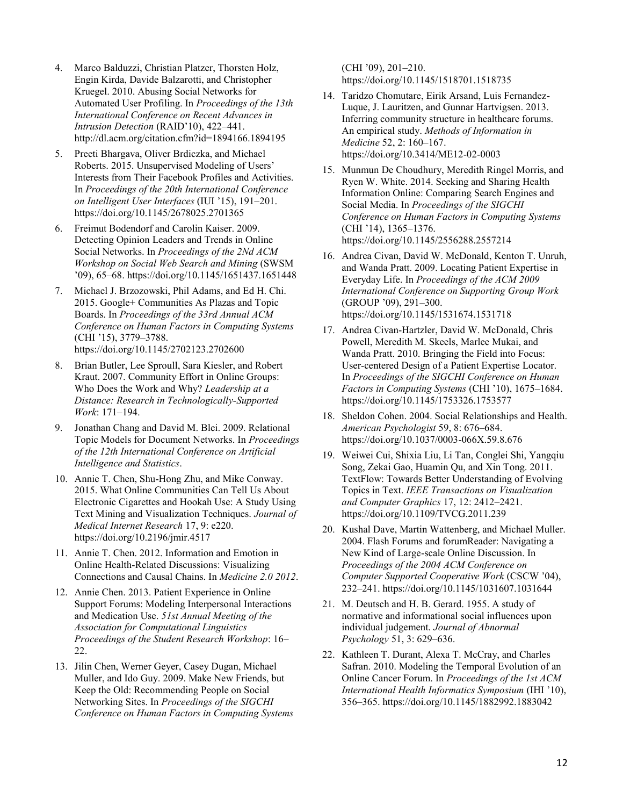- 4. Marco Balduzzi, Christian Platzer, Thorsten Holz, Engin Kirda, Davide Balzarotti, and Christopher Kruegel. 2010. Abusing Social Networks for Automated User Profiling. In *Proceedings of the 13th International Conference on Recent Advances in Intrusion Detection* (RAID'10), 422–441. http://dl.acm.org/citation.cfm?id=1894166.1894195
- 5. Preeti Bhargava, Oliver Brdiczka, and Michael Roberts. 2015. Unsupervised Modeling of Users' Interests from Their Facebook Profiles and Activities. In *Proceedings of the 20th International Conference on Intelligent User Interfaces* (IUI '15), 191–201. https://doi.org/10.1145/2678025.2701365
- 6. Freimut Bodendorf and Carolin Kaiser. 2009. Detecting Opinion Leaders and Trends in Online Social Networks. In *Proceedings of the 2Nd ACM Workshop on Social Web Search and Mining* (SWSM '09), 65–68. https://doi.org/10.1145/1651437.1651448
- 7. Michael J. Brzozowski, Phil Adams, and Ed H. Chi. 2015. Google+ Communities As Plazas and Topic Boards. In *Proceedings of the 33rd Annual ACM Conference on Human Factors in Computing Systems* (CHI '15), 3779–3788. https://doi.org/10.1145/2702123.2702600
- 8. Brian Butler, Lee Sproull, Sara Kiesler, and Robert Kraut. 2007. Community Effort in Online Groups: Who Does the Work and Why? *Leadership at a Distance: Research in Technologically-Supported Work*: 171–194.
- 9. Jonathan Chang and David M. Blei. 2009. Relational Topic Models for Document Networks. In *Proceedings of the 12th International Conference on Artificial Intelligence and Statistics*.
- 10. Annie T. Chen, Shu-Hong Zhu, and Mike Conway. 2015. What Online Communities Can Tell Us About Electronic Cigarettes and Hookah Use: A Study Using Text Mining and Visualization Techniques. *Journal of Medical Internet Research* 17, 9: e220. https://doi.org/10.2196/jmir.4517
- 11. Annie T. Chen. 2012. Information and Emotion in Online Health-Related Discussions: Visualizing Connections and Causal Chains. In *Medicine 2.0 2012*.
- 12. Annie Chen. 2013. Patient Experience in Online Support Forums: Modeling Interpersonal Interactions and Medication Use. *51st Annual Meeting of the Association for Computational Linguistics Proceedings of the Student Research Workshop*: 16– 22.
- 13. Jilin Chen, Werner Geyer, Casey Dugan, Michael Muller, and Ido Guy. 2009. Make New Friends, but Keep the Old: Recommending People on Social Networking Sites. In *Proceedings of the SIGCHI Conference on Human Factors in Computing Systems*

(CHI '09), 201–210. https://doi.org/10.1145/1518701.1518735

- 14. Taridzo Chomutare, Eirik Arsand, Luis Fernandez-Luque, J. Lauritzen, and Gunnar Hartvigsen. 2013. Inferring community structure in healthcare forums. An empirical study. *Methods of Information in Medicine* 52, 2: 160–167. https://doi.org/10.3414/ME12-02-0003
- 15. Munmun De Choudhury, Meredith Ringel Morris, and Ryen W. White. 2014. Seeking and Sharing Health Information Online: Comparing Search Engines and Social Media. In *Proceedings of the SIGCHI Conference on Human Factors in Computing Systems* (CHI '14), 1365–1376. https://doi.org/10.1145/2556288.2557214
- 16. Andrea Civan, David W. McDonald, Kenton T. Unruh, and Wanda Pratt. 2009. Locating Patient Expertise in Everyday Life. In *Proceedings of the ACM 2009 International Conference on Supporting Group Work* (GROUP '09), 291–300. https://doi.org/10.1145/1531674.1531718
- 17. Andrea Civan-Hartzler, David W. McDonald, Chris Powell, Meredith M. Skeels, Marlee Mukai, and Wanda Pratt. 2010. Bringing the Field into Focus: User-centered Design of a Patient Expertise Locator. In *Proceedings of the SIGCHI Conference on Human Factors in Computing Systems* (CHI '10), 1675–1684. https://doi.org/10.1145/1753326.1753577
- 18. Sheldon Cohen. 2004. Social Relationships and Health. *American Psychologist* 59, 8: 676–684. https://doi.org/10.1037/0003-066X.59.8.676
- 19. Weiwei Cui, Shixia Liu, Li Tan, Conglei Shi, Yangqiu Song, Zekai Gao, Huamin Qu, and Xin Tong. 2011. TextFlow: Towards Better Understanding of Evolving Topics in Text. *IEEE Transactions on Visualization and Computer Graphics* 17, 12: 2412–2421. https://doi.org/10.1109/TVCG.2011.239
- 20. Kushal Dave, Martin Wattenberg, and Michael Muller. 2004. Flash Forums and forumReader: Navigating a New Kind of Large-scale Online Discussion. In *Proceedings of the 2004 ACM Conference on Computer Supported Cooperative Work* (CSCW '04), 232–241. https://doi.org/10.1145/1031607.1031644
- 21. M. Deutsch and H. B. Gerard. 1955. A study of normative and informational social influences upon individual judgement. *Journal of Abnormal Psychology* 51, 3: 629–636.
- 22. Kathleen T. Durant, Alexa T. McCray, and Charles Safran. 2010. Modeling the Temporal Evolution of an Online Cancer Forum. In *Proceedings of the 1st ACM International Health Informatics Symposium* (IHI '10), 356–365. https://doi.org/10.1145/1882992.1883042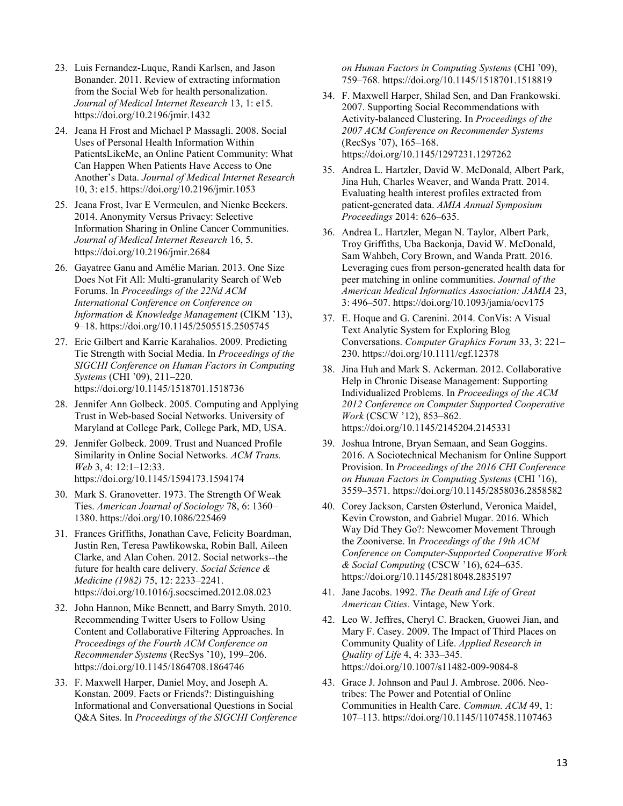- 23. Luis Fernandez-Luque, Randi Karlsen, and Jason Bonander. 2011. Review of extracting information from the Social Web for health personalization. *Journal of Medical Internet Research* 13, 1: e15. https://doi.org/10.2196/jmir.1432
- 24. Jeana H Frost and Michael P Massagli. 2008. Social Uses of Personal Health Information Within PatientsLikeMe, an Online Patient Community: What Can Happen When Patients Have Access to One Another's Data. *Journal of Medical Internet Research* 10, 3: e15. https://doi.org/10.2196/jmir.1053
- 25. Jeana Frost, Ivar E Vermeulen, and Nienke Beekers. 2014. Anonymity Versus Privacy: Selective Information Sharing in Online Cancer Communities. *Journal of Medical Internet Research* 16, 5. https://doi.org/10.2196/jmir.2684
- 26. Gayatree Ganu and Amélie Marian. 2013. One Size Does Not Fit All: Multi-granularity Search of Web Forums. In *Proceedings of the 22Nd ACM International Conference on Conference on Information & Knowledge Management* (CIKM '13), 9–18. https://doi.org/10.1145/2505515.2505745
- 27. Eric Gilbert and Karrie Karahalios. 2009. Predicting Tie Strength with Social Media. In *Proceedings of the SIGCHI Conference on Human Factors in Computing Systems* (CHI '09), 211–220. https://doi.org/10.1145/1518701.1518736
- 28. Jennifer Ann Golbeck. 2005. Computing and Applying Trust in Web-based Social Networks. University of Maryland at College Park, College Park, MD, USA.
- 29. Jennifer Golbeck. 2009. Trust and Nuanced Profile Similarity in Online Social Networks. *ACM Trans. Web* 3, 4: 12:1–12:33. https://doi.org/10.1145/1594173.1594174
- 30. Mark S. Granovetter. 1973. The Strength Of Weak Ties. *American Journal of Sociology* 78, 6: 1360– 1380. https://doi.org/10.1086/225469
- 31. Frances Griffiths, Jonathan Cave, Felicity Boardman, Justin Ren, Teresa Pawlikowska, Robin Ball, Aileen Clarke, and Alan Cohen. 2012. Social networks--the future for health care delivery. *Social Science & Medicine (1982)* 75, 12: 2233–2241. https://doi.org/10.1016/j.socscimed.2012.08.023
- 32. John Hannon, Mike Bennett, and Barry Smyth. 2010. Recommending Twitter Users to Follow Using Content and Collaborative Filtering Approaches. In *Proceedings of the Fourth ACM Conference on Recommender Systems* (RecSys '10), 199–206. https://doi.org/10.1145/1864708.1864746
- 33. F. Maxwell Harper, Daniel Moy, and Joseph A. Konstan. 2009. Facts or Friends?: Distinguishing Informational and Conversational Questions in Social Q&A Sites. In *Proceedings of the SIGCHI Conference*

*on Human Factors in Computing Systems* (CHI '09), 759–768. https://doi.org/10.1145/1518701.1518819

- 34. F. Maxwell Harper, Shilad Sen, and Dan Frankowski. 2007. Supporting Social Recommendations with Activity-balanced Clustering. In *Proceedings of the 2007 ACM Conference on Recommender Systems* (RecSys '07), 165–168. https://doi.org/10.1145/1297231.1297262
- 35. Andrea L. Hartzler, David W. McDonald, Albert Park, Jina Huh, Charles Weaver, and Wanda Pratt. 2014. Evaluating health interest profiles extracted from patient-generated data. *AMIA Annual Symposium Proceedings* 2014: 626–635.
- 36. Andrea L. Hartzler, Megan N. Taylor, Albert Park, Troy Griffiths, Uba Backonja, David W. McDonald, Sam Wahbeh, Cory Brown, and Wanda Pratt. 2016. Leveraging cues from person-generated health data for peer matching in online communities. *Journal of the American Medical Informatics Association: JAMIA* 23, 3: 496–507. https://doi.org/10.1093/jamia/ocv175
- 37. E. Hoque and G. Carenini. 2014. ConVis: A Visual Text Analytic System for Exploring Blog Conversations. *Computer Graphics Forum* 33, 3: 221– 230. https://doi.org/10.1111/cgf.12378
- 38. Jina Huh and Mark S. Ackerman. 2012. Collaborative Help in Chronic Disease Management: Supporting Individualized Problems. In *Proceedings of the ACM 2012 Conference on Computer Supported Cooperative Work* (CSCW '12), 853–862. https://doi.org/10.1145/2145204.2145331
- 39. Joshua Introne, Bryan Semaan, and Sean Goggins. 2016. A Sociotechnical Mechanism for Online Support Provision. In *Proceedings of the 2016 CHI Conference on Human Factors in Computing Systems* (CHI '16), 3559–3571. https://doi.org/10.1145/2858036.2858582
- 40. Corey Jackson, Carsten Østerlund, Veronica Maidel, Kevin Crowston, and Gabriel Mugar. 2016. Which Way Did They Go?: Newcomer Movement Through the Zooniverse. In *Proceedings of the 19th ACM Conference on Computer-Supported Cooperative Work & Social Computing* (CSCW '16), 624–635. https://doi.org/10.1145/2818048.2835197
- 41. Jane Jacobs. 1992. *The Death and Life of Great American Cities*. Vintage, New York.
- 42. Leo W. Jeffres, Cheryl C. Bracken, Guowei Jian, and Mary F. Casey. 2009. The Impact of Third Places on Community Quality of Life. *Applied Research in Quality of Life* 4, 4: 333–345. https://doi.org/10.1007/s11482-009-9084-8
- 43. Grace J. Johnson and Paul J. Ambrose. 2006. Neotribes: The Power and Potential of Online Communities in Health Care. *Commun. ACM* 49, 1: 107–113. https://doi.org/10.1145/1107458.1107463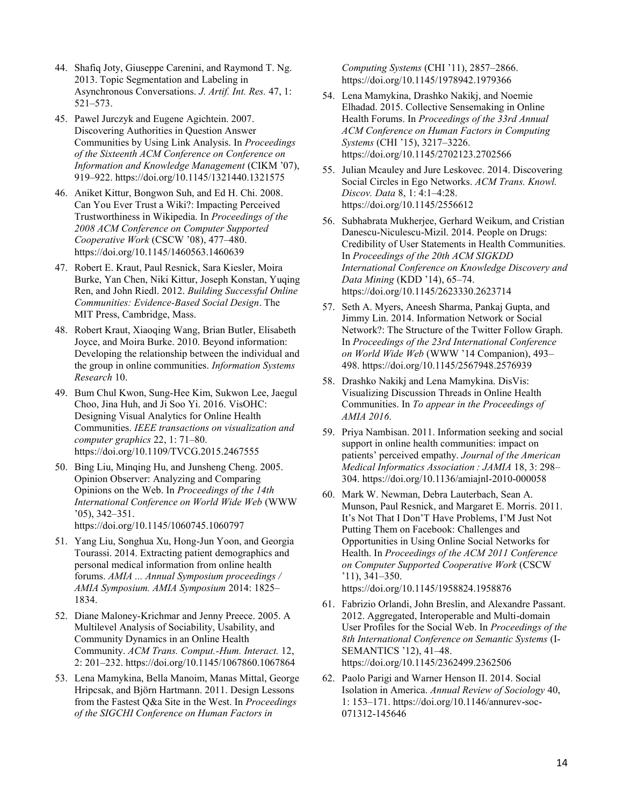- 44. Shafiq Joty, Giuseppe Carenini, and Raymond T. Ng. 2013. Topic Segmentation and Labeling in Asynchronous Conversations. *J. Artif. Int. Res.* 47, 1: 521–573.
- 45. Pawel Jurczyk and Eugene Agichtein. 2007. Discovering Authorities in Question Answer Communities by Using Link Analysis. In *Proceedings of the Sixteenth ACM Conference on Conference on Information and Knowledge Management* (CIKM '07), 919–922. https://doi.org/10.1145/1321440.1321575
- 46. Aniket Kittur, Bongwon Suh, and Ed H. Chi. 2008. Can You Ever Trust a Wiki?: Impacting Perceived Trustworthiness in Wikipedia. In *Proceedings of the 2008 ACM Conference on Computer Supported Cooperative Work* (CSCW '08), 477–480. https://doi.org/10.1145/1460563.1460639
- 47. Robert E. Kraut, Paul Resnick, Sara Kiesler, Moira Burke, Yan Chen, Niki Kittur, Joseph Konstan, Yuqing Ren, and John Riedl. 2012. *Building Successful Online Communities: Evidence-Based Social Design*. The MIT Press, Cambridge, Mass.
- 48. Robert Kraut, Xiaoqing Wang, Brian Butler, Elisabeth Joyce, and Moira Burke. 2010. Beyond information: Developing the relationship between the individual and the group in online communities. *Information Systems Research* 10.
- 49. Bum Chul Kwon, Sung-Hee Kim, Sukwon Lee, Jaegul Choo, Jina Huh, and Ji Soo Yi. 2016. VisOHC: Designing Visual Analytics for Online Health Communities. *IEEE transactions on visualization and computer graphics* 22, 1: 71–80. https://doi.org/10.1109/TVCG.2015.2467555
- 50. Bing Liu, Minqing Hu, and Junsheng Cheng. 2005. Opinion Observer: Analyzing and Comparing Opinions on the Web. In *Proceedings of the 14th International Conference on World Wide Web* (WWW '05), 342–351. https://doi.org/10.1145/1060745.1060797
- 51. Yang Liu, Songhua Xu, Hong-Jun Yoon, and Georgia Tourassi. 2014. Extracting patient demographics and personal medical information from online health forums. *AMIA ... Annual Symposium proceedings / AMIA Symposium. AMIA Symposium* 2014: 1825– 1834.
- 52. Diane Maloney-Krichmar and Jenny Preece. 2005. A Multilevel Analysis of Sociability, Usability, and Community Dynamics in an Online Health Community. *ACM Trans. Comput.-Hum. Interact.* 12, 2: 201–232. https://doi.org/10.1145/1067860.1067864
- 53. Lena Mamykina, Bella Manoim, Manas Mittal, George Hripcsak, and Björn Hartmann. 2011. Design Lessons from the Fastest Q&a Site in the West. In *Proceedings of the SIGCHI Conference on Human Factors in*

*Computing Systems* (CHI '11), 2857–2866. https://doi.org/10.1145/1978942.1979366

- 54. Lena Mamykina, Drashko Nakikj, and Noemie Elhadad. 2015. Collective Sensemaking in Online Health Forums. In *Proceedings of the 33rd Annual ACM Conference on Human Factors in Computing Systems* (CHI '15), 3217–3226. https://doi.org/10.1145/2702123.2702566
- 55. Julian Mcauley and Jure Leskovec. 2014. Discovering Social Circles in Ego Networks. *ACM Trans. Knowl. Discov. Data* 8, 1: 4:1–4:28. https://doi.org/10.1145/2556612
- 56. Subhabrata Mukherjee, Gerhard Weikum, and Cristian Danescu-Niculescu-Mizil. 2014. People on Drugs: Credibility of User Statements in Health Communities. In *Proceedings of the 20th ACM SIGKDD International Conference on Knowledge Discovery and Data Mining* (KDD '14), 65–74. https://doi.org/10.1145/2623330.2623714
- 57. Seth A. Myers, Aneesh Sharma, Pankaj Gupta, and Jimmy Lin. 2014. Information Network or Social Network?: The Structure of the Twitter Follow Graph. In *Proceedings of the 23rd International Conference on World Wide Web* (WWW '14 Companion), 493– 498. https://doi.org/10.1145/2567948.2576939
- 58. Drashko Nakikj and Lena Mamykina. DisVis: Visualizing Discussion Threads in Online Health Communities. In *To appear in the Proceedings of AMIA 2016*.
- 59. Priya Nambisan. 2011. Information seeking and social support in online health communities: impact on patients' perceived empathy. *Journal of the American Medical Informatics Association : JAMIA* 18, 3: 298– 304. https://doi.org/10.1136/amiajnl-2010-000058
- 60. Mark W. Newman, Debra Lauterbach, Sean A. Munson, Paul Resnick, and Margaret E. Morris. 2011. It's Not That I Don'T Have Problems, I'M Just Not Putting Them on Facebook: Challenges and Opportunities in Using Online Social Networks for Health. In *Proceedings of the ACM 2011 Conference on Computer Supported Cooperative Work* (CSCW '11), 341–350. https://doi.org/10.1145/1958824.1958876
- 61. Fabrizio Orlandi, John Breslin, and Alexandre Passant. 2012. Aggregated, Interoperable and Multi-domain User Profiles for the Social Web. In *Proceedings of the 8th International Conference on Semantic Systems* (I-SEMANTICS '12), 41–48. https://doi.org/10.1145/2362499.2362506
- 62. Paolo Parigi and Warner Henson II. 2014. Social Isolation in America. *Annual Review of Sociology* 40, 1: 153–171. https://doi.org/10.1146/annurev-soc-071312-145646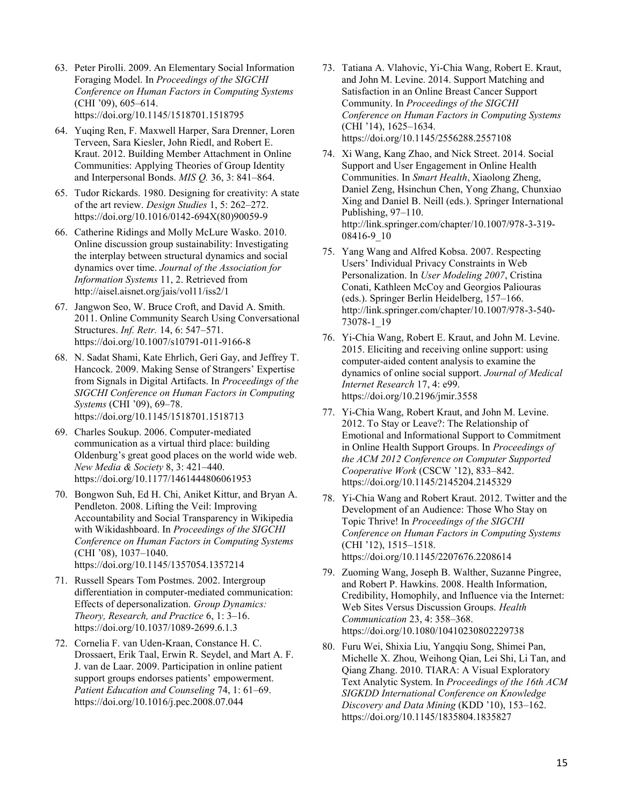- 63. Peter Pirolli. 2009. An Elementary Social Information Foraging Model. In *Proceedings of the SIGCHI Conference on Human Factors in Computing Systems* (CHI '09), 605–614. https://doi.org/10.1145/1518701.1518795
- 64. Yuqing Ren, F. Maxwell Harper, Sara Drenner, Loren Terveen, Sara Kiesler, John Riedl, and Robert E. Kraut. 2012. Building Member Attachment in Online Communities: Applying Theories of Group Identity and Interpersonal Bonds. *MIS Q.* 36, 3: 841–864.
- 65. Tudor Rickards. 1980. Designing for creativity: A state of the art review. *Design Studies* 1, 5: 262–272. https://doi.org/10.1016/0142-694X(80)90059-9
- 66. Catherine Ridings and Molly McLure Wasko. 2010. Online discussion group sustainability: Investigating the interplay between structural dynamics and social dynamics over time. *Journal of the Association for Information Systems* 11, 2. Retrieved from http://aisel.aisnet.org/jais/vol11/iss2/1
- 67. Jangwon Seo, W. Bruce Croft, and David A. Smith. 2011. Online Community Search Using Conversational Structures. *Inf. Retr.* 14, 6: 547–571. https://doi.org/10.1007/s10791-011-9166-8
- 68. N. Sadat Shami, Kate Ehrlich, Geri Gay, and Jeffrey T. Hancock. 2009. Making Sense of Strangers' Expertise from Signals in Digital Artifacts. In *Proceedings of the SIGCHI Conference on Human Factors in Computing Systems* (CHI '09), 69–78. https://doi.org/10.1145/1518701.1518713
- 69. Charles Soukup. 2006. Computer-mediated communication as a virtual third place: building Oldenburg's great good places on the world wide web. *New Media & Society* 8, 3: 421–440. https://doi.org/10.1177/1461444806061953
- 70. Bongwon Suh, Ed H. Chi, Aniket Kittur, and Bryan A. Pendleton. 2008. Lifting the Veil: Improving Accountability and Social Transparency in Wikipedia with Wikidashboard. In *Proceedings of the SIGCHI Conference on Human Factors in Computing Systems* (CHI '08), 1037–1040. https://doi.org/10.1145/1357054.1357214
- 71. Russell Spears Tom Postmes. 2002. Intergroup differentiation in computer-mediated communication: Effects of depersonalization. *Group Dynamics: Theory, Research, and Practice* 6, 1: 3–16. https://doi.org/10.1037/1089-2699.6.1.3
- 72. Cornelia F. van Uden-Kraan, Constance H. C. Drossaert, Erik Taal, Erwin R. Seydel, and Mart A. F. J. van de Laar. 2009. Participation in online patient support groups endorses patients' empowerment. *Patient Education and Counseling* 74, 1: 61–69. https://doi.org/10.1016/j.pec.2008.07.044
- 73. Tatiana A. Vlahovic, Yi-Chia Wang, Robert E. Kraut, and John M. Levine. 2014. Support Matching and Satisfaction in an Online Breast Cancer Support Community. In *Proceedings of the SIGCHI Conference on Human Factors in Computing Systems* (CHI '14), 1625–1634. https://doi.org/10.1145/2556288.2557108
- 74. Xi Wang, Kang Zhao, and Nick Street. 2014. Social Support and User Engagement in Online Health Communities. In *Smart Health*, Xiaolong Zheng, Daniel Zeng, Hsinchun Chen, Yong Zhang, Chunxiao Xing and Daniel B. Neill (eds.). Springer International Publishing, 97–110. http://link.springer.com/chapter/10.1007/978-3-319- 08416-9\_10
- 75. Yang Wang and Alfred Kobsa. 2007. Respecting Users' Individual Privacy Constraints in Web Personalization. In *User Modeling 2007*, Cristina Conati, Kathleen McCoy and Georgios Paliouras (eds.). Springer Berlin Heidelberg, 157–166. http://link.springer.com/chapter/10.1007/978-3-540- 73078-1\_19
- 76. Yi-Chia Wang, Robert E. Kraut, and John M. Levine. 2015. Eliciting and receiving online support: using computer-aided content analysis to examine the dynamics of online social support. *Journal of Medical Internet Research* 17, 4: e99. https://doi.org/10.2196/jmir.3558
- 77. Yi-Chia Wang, Robert Kraut, and John M. Levine. 2012. To Stay or Leave?: The Relationship of Emotional and Informational Support to Commitment in Online Health Support Groups. In *Proceedings of the ACM 2012 Conference on Computer Supported Cooperative Work* (CSCW '12), 833–842. https://doi.org/10.1145/2145204.2145329
- 78. Yi-Chia Wang and Robert Kraut. 2012. Twitter and the Development of an Audience: Those Who Stay on Topic Thrive! In *Proceedings of the SIGCHI Conference on Human Factors in Computing Systems* (CHI '12), 1515–1518. https://doi.org/10.1145/2207676.2208614
- 79. Zuoming Wang, Joseph B. Walther, Suzanne Pingree, and Robert P. Hawkins. 2008. Health Information, Credibility, Homophily, and Influence via the Internet: Web Sites Versus Discussion Groups. *Health Communication* 23, 4: 358–368. https://doi.org/10.1080/10410230802229738
- 80. Furu Wei, Shixia Liu, Yangqiu Song, Shimei Pan, Michelle X. Zhou, Weihong Qian, Lei Shi, Li Tan, and Qiang Zhang. 2010. TIARA: A Visual Exploratory Text Analytic System. In *Proceedings of the 16th ACM SIGKDD International Conference on Knowledge Discovery and Data Mining* (KDD '10), 153–162. https://doi.org/10.1145/1835804.1835827